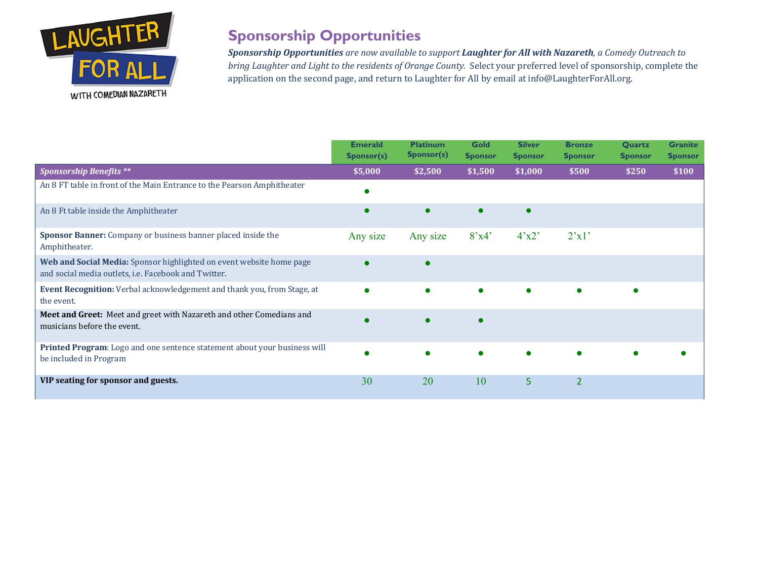

## **Sponsorship Opportunities**

**Sponsorship Opportunities** are now available to support **Laughter for All with Nazareth**, a Comedy Outreach to *bring Laughter and Light to the residents of Orange County.* Select your preferred level of sponsorship, complete the application on the second page, and return to Laughter for All by email at info@LaughterForAll.org.

|                                                                                                                              | <b>Emerald</b><br>Sponsor(s) | <b>Platinum</b><br>Sponsor(s) | <b>Gold</b><br><b>Sponsor</b> | <b>Silver</b><br><b>Sponsor</b> | <b>Bronze</b><br><b>Sponsor</b> | <b>Quartz</b><br><b>Sponsor</b> | <b>Granite</b><br><b>Sponsor</b> |
|------------------------------------------------------------------------------------------------------------------------------|------------------------------|-------------------------------|-------------------------------|---------------------------------|---------------------------------|---------------------------------|----------------------------------|
| <b>Sponsorship Benefits **</b>                                                                                               | \$5,000                      | \$2,500                       | \$1,500                       | \$1,000                         | \$500                           | \$250                           | \$100                            |
| An 8 FT table in front of the Main Entrance to the Pearson Amphitheater                                                      |                              |                               |                               |                                 |                                 |                                 |                                  |
| An 8 Ft table inside the Amphitheater                                                                                        |                              |                               |                               |                                 |                                 |                                 |                                  |
| Sponsor Banner: Company or business banner placed inside the<br>Amphitheater.                                                | Any size                     | Any size                      | 8'x4'                         | 4'x2'                           | 2'x1'                           |                                 |                                  |
| Web and Social Media: Sponsor highlighted on event website home page<br>and social media outlets, i.e. Facebook and Twitter. |                              |                               |                               |                                 |                                 |                                 |                                  |
| Event Recognition: Verbal acknowledgement and thank you, from Stage, at<br>the event.                                        |                              |                               |                               |                                 |                                 |                                 |                                  |
| Meet and Greet: Meet and greet with Nazareth and other Comedians and<br>musicians before the event.                          |                              |                               |                               |                                 |                                 |                                 |                                  |
| Printed Program: Logo and one sentence statement about your business will<br>be included in Program                          |                              |                               |                               |                                 |                                 |                                 |                                  |
| VIP seating for sponsor and guests.                                                                                          | 30                           | 20                            | 10                            | 5                               | $\overline{2}$                  |                                 |                                  |